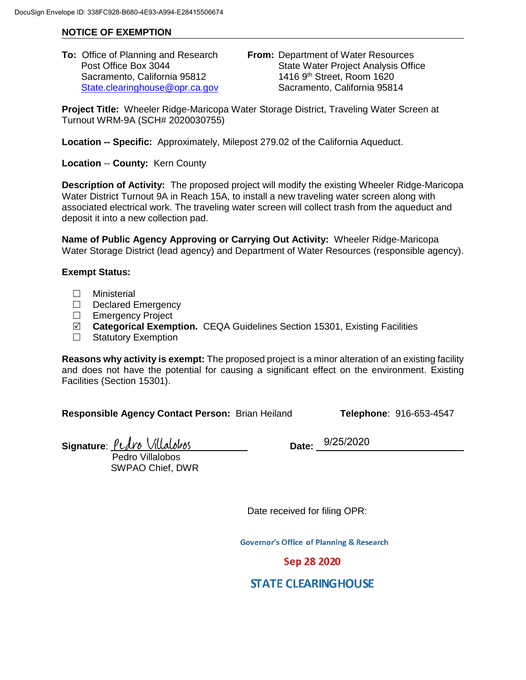## **NOTICE OF EXEMPTION**

Sacramento, California 95812

**To:** Office of Planning and Research **From:** Department of Water Resources Post Office Box 3044 State Water Project Analysis Office<br>Sacramento. California 95812 1416 9<sup>th</sup> Street. Room 1620 [State.clearinghouse@opr.ca.gov](mailto:State.clearinghouse@opr.ca.gov) Sacramento, California 95814

**Project Title:** Wheeler Ridge-Maricopa Water Storage District, Traveling Water Screen at Turnout WRM-9A (SCH# 2020030755)

**Location -- Specific:** Approximately, Milepost 279.02 of the California Aqueduct.

**Location** -- **County:** Kern County

**Description of Activity:** The proposed project will modify the existing Wheeler Ridge-Maricopa Water District Turnout 9A in Reach 15A, to install a new traveling water screen along with associated electrical work. The traveling water screen will collect trash from the aqueduct and deposit it into a new collection pad.

**Name of Public Agency Approving or Carrying Out Activity:** Wheeler Ridge-Maricopa Water Storage District (lead agency) and Department of Water Resources (responsible agency).

## **Exempt Status:**

- Ministerial
- $\Box$  Declared Emergency
- □ Emergency Project
- **Categorical Exemption.** CEQA Guidelines Section 15301, Existing Facilities
- □ Statutory Exemption

**Reasons why activity is exempt:** The proposed project is a minor alteration of an existing facility and does not have the potential for causing a significant effect on the environment. Existing Facilities (Section 15301).

**Responsible Agency Contact Person:** Brian Heiland **Telephone**: 916-653-4547

Signature: *<u>Pudro</u>* Villalobos

 Pedro Villalobos SWPAO Chief, DWR Date: 9/25/2020

Date received for filing OPR:

**Governor's Office of Planning & Research** 

## Sep 28 2020

## **STATE CLEARINGHOUSE**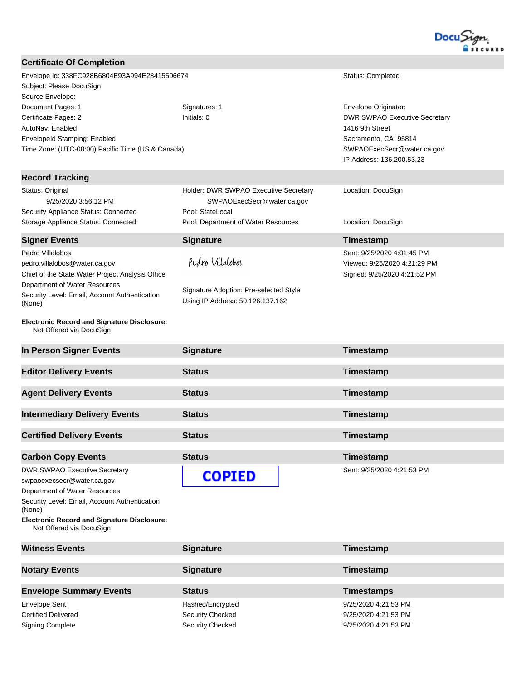

| <b>Certificate Of Completion</b>                                               |                                                                            |                                      |
|--------------------------------------------------------------------------------|----------------------------------------------------------------------------|--------------------------------------|
| Envelope Id: 338FC928B6804E93A994E28415506674                                  |                                                                            | Status: Completed                    |
| Subject: Please DocuSign                                                       |                                                                            |                                      |
| Source Envelope:                                                               |                                                                            |                                      |
| Document Pages: 1                                                              | Signatures: 1                                                              | Envelope Originator:                 |
| Certificate Pages: 2                                                           | Initials: 0                                                                | <b>DWR SWPAO Executive Secretary</b> |
| AutoNav: Enabled                                                               |                                                                            | 1416 9th Street                      |
| Envelopeld Stamping: Enabled                                                   |                                                                            | Sacramento, CA 95814                 |
| Time Zone: (UTC-08:00) Pacific Time (US & Canada)                              |                                                                            | SWPAOExecSecr@water.ca.gov           |
|                                                                                |                                                                            | IP Address: 136.200.53.23            |
| <b>Record Tracking</b>                                                         |                                                                            |                                      |
| Status: Original                                                               | Holder: DWR SWPAO Executive Secretary                                      | Location: DocuSign                   |
| 9/25/2020 3:56:12 PM                                                           | SWPAOExecSecr@water.ca.gov                                                 |                                      |
| Security Appliance Status: Connected                                           | Pool: StateLocal                                                           |                                      |
| Storage Appliance Status: Connected                                            | Pool: Department of Water Resources                                        | Location: DocuSign                   |
| <b>Signer Events</b>                                                           | <b>Signature</b>                                                           | <b>Timestamp</b>                     |
| Pedro Villalobos                                                               |                                                                            | Sent: 9/25/2020 4:01:45 PM           |
| pedro.villalobos@water.ca.gov                                                  | Pedro Villalobos                                                           | Viewed: 9/25/2020 4:21:29 PM         |
| Chief of the State Water Project Analysis Office                               |                                                                            | Signed: 9/25/2020 4:21:52 PM         |
| Department of Water Resources                                                  |                                                                            |                                      |
| Security Level: Email, Account Authentication<br>(None)                        | Signature Adoption: Pre-selected Style<br>Using IP Address: 50.126.137.162 |                                      |
|                                                                                |                                                                            |                                      |
| <b>Electronic Record and Signature Disclosure:</b><br>Not Offered via DocuSign |                                                                            |                                      |
| In Person Signer Events                                                        | <b>Signature</b>                                                           | Timestamp                            |
| <b>Editor Delivery Events</b>                                                  | <b>Status</b>                                                              | Timestamp                            |
| <b>Agent Delivery Events</b>                                                   | <b>Status</b>                                                              | Timestamp                            |
|                                                                                |                                                                            |                                      |
| <b>Intermediary Delivery Events</b>                                            | <b>Status</b>                                                              | Timestamp                            |
| <b>Certified Delivery Events</b>                                               | <b>Status</b>                                                              | <b>Timestamp</b>                     |
|                                                                                |                                                                            |                                      |
| <b>Carbon Copy Events</b>                                                      | <b>Status</b>                                                              | Timestamp                            |
| <b>DWR SWPAO Executive Secretary</b>                                           |                                                                            | Sent: 9/25/2020 4:21:53 PM           |
| swpaoexecsecr@water.ca.gov                                                     | <b>COPIED</b>                                                              |                                      |
| Department of Water Resources                                                  |                                                                            |                                      |
| Security Level: Email, Account Authentication<br>(None)                        |                                                                            |                                      |
| <b>Electronic Record and Signature Disclosure:</b><br>Not Offered via DocuSign |                                                                            |                                      |
| <b>Witness Events</b>                                                          | <b>Signature</b>                                                           | Timestamp                            |
|                                                                                |                                                                            |                                      |
| <b>Notary Events</b>                                                           | <b>Signature</b>                                                           | Timestamp                            |
| <b>Envelope Summary Events</b>                                                 | <b>Status</b>                                                              | <b>Timestamps</b>                    |
| <b>Envelope Sent</b>                                                           | Hashed/Encrypted                                                           | 9/25/2020 4:21:53 PM                 |

Certified Delivered **Security Checked** Security Checked 9/25/2020 4:21:53 PM Signing Complete Signing Complete Security Checked Security Checked 9/25/2020 4:21:53 PM